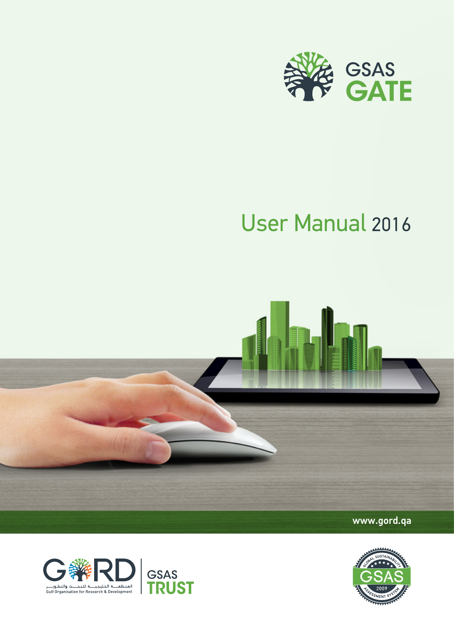

# User Manual 2016





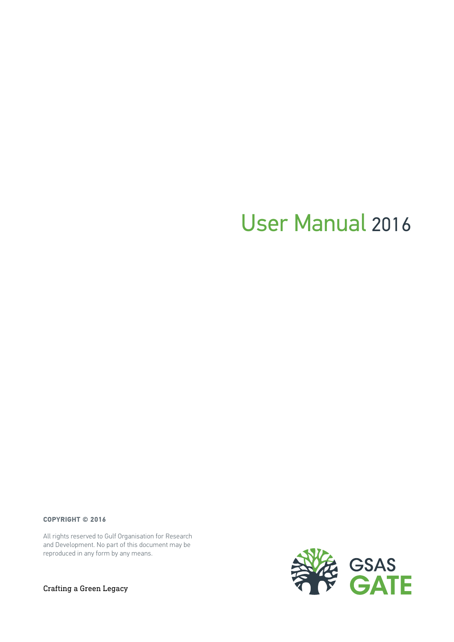# User Manual 2016

**COPYRIGHT © 2016**

All rights reserved to Gulf Organisation for Research and Development. No part of this document may be reproduced in any form by any means.



Crafting a Green Legacy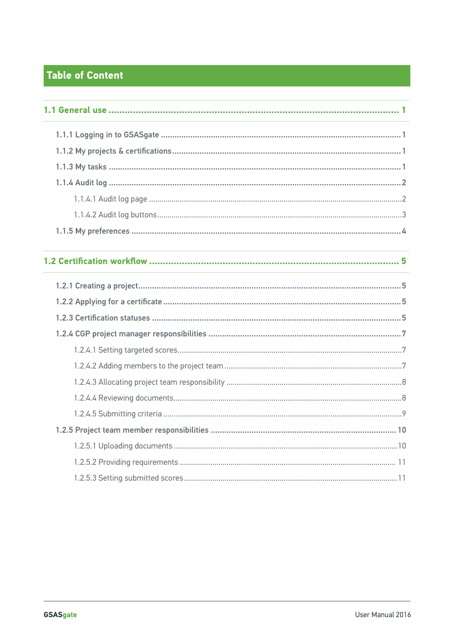# Table of Content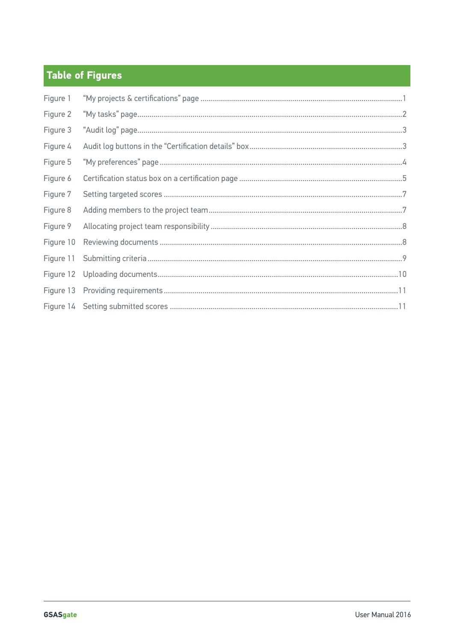# **Table of Figures**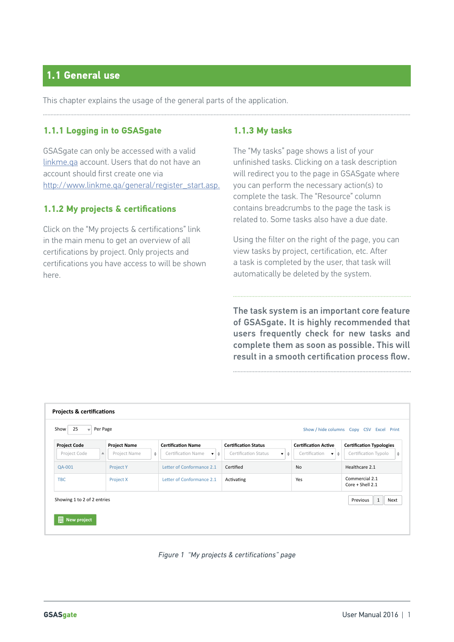### **1.1 General use**

This chapter explains the usage of the general parts of the application.

#### **1.1.1 Logging in to GSASgate**

GSASgate can only be accessed with a valid linkme.qa account. Users that do not have an account should first create one via http://www.linkme.qa/general/register\_start.asp.

#### **1.1.2 My projects & certifications**

Click on the "My projects & certifications" link in the main menu to get an overview of all certifications by project. Only projects and certifications you have access to will be shown here.

#### **1.1.3 My tasks**

The "My tasks" page shows a list of your unfinished tasks. Clicking on a task description will redirect you to the page in GSASgate where you can perform the necessary action(s) to complete the task. The "Resource" column contains breadcrumbs to the page the task is related to. Some tasks also have a due date.

Using the filter on the right of the page, you can view tasks by project, certification, etc. After a task is completed by the user, that task will automatically be deleted by the system.

The task system is an important core feature of GSASgate. It is highly recommended that users frequently check for new tasks and complete them as soon as possible. This will result in a smooth certification process flow.

| <b>Project Code</b>              | <b>Project Name</b>          | <b>Certification Name</b>                 | <b>Certification Status</b>                          | <b>Certification Active</b>                     | <b>Certification Typologies</b>      |
|----------------------------------|------------------------------|-------------------------------------------|------------------------------------------------------|-------------------------------------------------|--------------------------------------|
| Project Code<br>$\blacktriangle$ | Project Name<br>$\triangleq$ | Certification Name<br>$\mathbf{v}$ $\phi$ | Certification Status<br>$\triangleq$<br>$\mathbf{v}$ | Certification<br>$\mathbf{v}$   $\mathbf{\div}$ | $\triangleq$<br>Certification Typolo |
| QA-001                           | <b>Project Y</b>             | Letter of Conformance 2.1                 | Certified                                            | <b>No</b>                                       | Healthcare 2.1                       |
| <b>TBC</b>                       | Project X                    | Letter of Conformance 2.1                 | Activating                                           | Yes                                             | Commercial 2.1<br>Core + Shell 2.1   |

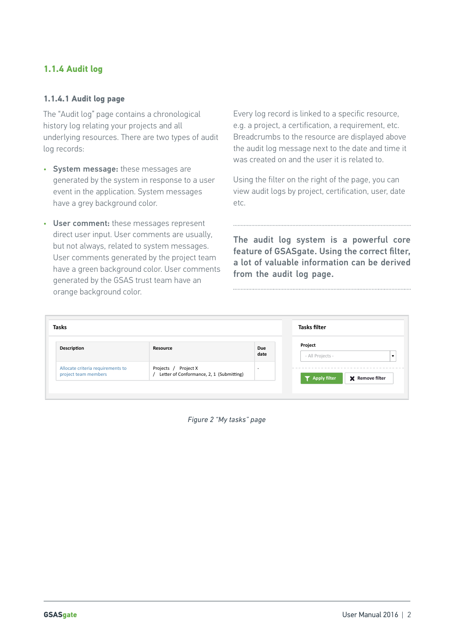#### **1.1.4 Audit log**

#### **1.1.4.1 Audit log page**

The "Audit log" page contains a chronological history log relating your projects and all underlying resources. There are two types of audit log records:

- System message: these messages are generated by the system in response to a user event in the application. System messages have a grey background color.
- User comment: these messages represent direct user input. User comments are usually, but not always, related to system messages. User comments generated by the project team have a green background color. User comments generated by the GSAS trust team have an orange background color.

Every log record is linked to a specific resource, e.g. a project, a certification, a requirement, etc. Breadcrumbs to the resource are displayed above the audit log message next to the date and time it was created on and the user it is related to.

Using the filter on the right of the page, you can view audit logs by project, certification, user, date etc.

The audit log system is a powerful core feature of GSASgate. Using the correct filter, a lot of valuable information can be derived from the audit log page.

| Description                                               | Resource                                                         | Due<br>date              | Project<br>- All Projects -                     |
|-----------------------------------------------------------|------------------------------------------------------------------|--------------------------|-------------------------------------------------|
| Allocate criteria requirements to<br>project team members | Projects / Project X<br>Letter of Conformance, 2, 1 (Submitting) | $\overline{\phantom{0}}$ | <b>T</b> Apply filter<br><b>X</b> Remove filter |

*Figure 2 "My tasks" page*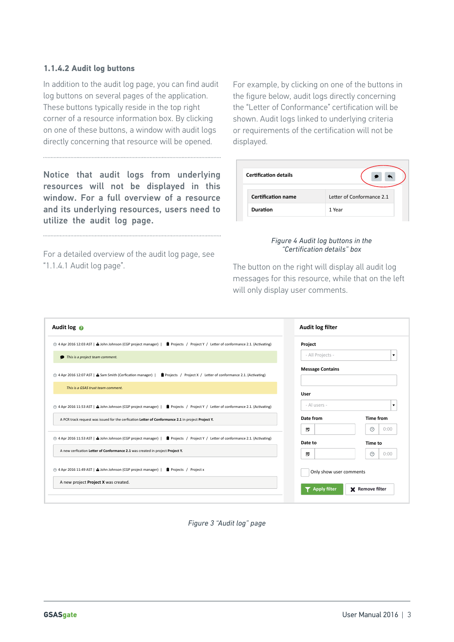#### **1.1.4.2 Audit log buttons**

In addition to the audit log page, you can find audit log buttons on several pages of the application. These buttons typically reside in the top right corner of a resource information box. By clicking on one of these buttons, a window with audit logs directly concerning that resource will be opened.

Notice that audit logs from underlying resources will not be displayed in this window. For a full overview of a resource and its underlying resources, users need to utilize the audit log page.

For a detailed overview of the audit log page, see "1.1.4.1 Audit log page".

For example, by clicking on one of the buttons in the figure below, audit logs directly concerning the "Letter of Conformance" certification will be shown. Audit logs linked to underlying criteria or requirements of the certification will not be displayed.

| <b>Certification details</b> |                           |
|------------------------------|---------------------------|
| <b>Certification name</b>    | Letter of Conformance 2.1 |
| <b>Duration</b>              | 1 Year                    |

#### *Figure 4 Audit log buttons in the "Certification details" box*

The button on the right will display all audit log messages for this resource, while that on the left will only display user comments.

| 4 Apr 2016 12:03 AST   a John Johnson (CGP project manager)  <br>Projects / Project Y / Letter of conformance 2.1. (Activating)  | Project                 |                         |
|----------------------------------------------------------------------------------------------------------------------------------|-------------------------|-------------------------|
| This is a project team comment.                                                                                                  | - All Projects -        | $\overline{\mathbf{v}}$ |
| ⊙ 4 Apr 2016 12:07 AST   △ Sam Smith (Cerfication manager)  <br>■ Projects / Project X / Letter of conformance 2.1. (Activating) | <b>Message Contains</b> |                         |
| This is a GSAS trust team comment.                                                                                               | User                    |                         |
| ⊙ 4 Apr 2016 11:53 AST   △ John Johnson (CGP project manager)   ■ Projects / Project Y / Letter of conformance 2.1. (Activating) | - Al users -            | $\mathbf{v}$            |
| A PCR track request was issued for the cerfication Letter of Conformance 2.1 in project Project Y.                               | Date from               | <b>Time from</b>        |
|                                                                                                                                  | D                       | $\odot$<br>0:00         |
| ⊙ 4 Apr 2016 11:53 AST   △ John Johnson (CGP project manager)   ■ Projects / Project Y / Letter of conformance 2.1. (Activating) | Date to                 | Time to                 |
| A new cerfication Letter of Conformance 2.1 was created in project Project Y.                                                    | D                       | $\odot$<br>0:00         |
| ⊙ 4 Apr 2016 11:49 AST   △ John Johnson (CGP project manager)  <br>Projects / Project x                                          | Only show user comments |                         |
| A new project Project X was created.                                                                                             | <b>Apply filter</b>     | X Remove filter         |

*Figure 3 "Audit log" page*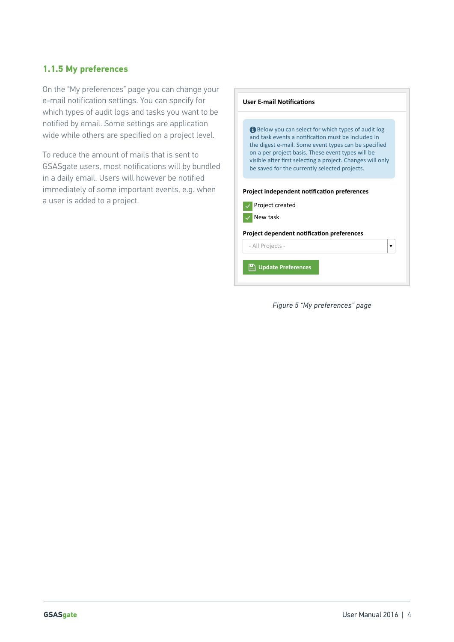#### **1.1.5 My preferences**

On the "My preferences" page you can change your e-mail notification settings. You can specify for which types of audit logs and tasks you want to be notified by email. Some settings are application wide while others are specified on a project level.

To reduce the amount of mails that is sent to GSASgate users, most notifications will by bundled in a daily email. Users will however be notified immediately of some important events, e.g. when a user is added to a project.

| <b>User E-mail Notifications</b>                                                                                                                                                                                                                                                                                                    |
|-------------------------------------------------------------------------------------------------------------------------------------------------------------------------------------------------------------------------------------------------------------------------------------------------------------------------------------|
| Below you can select for which types of audit log<br>and task events a notification must be included in<br>the digest e-mail. Some event types can be specified<br>on a per project basis. These event types will be<br>visible after first selecting a project. Changes will only<br>be saved for the currently selected projects. |
| Project independent notification preferences<br>Project created                                                                                                                                                                                                                                                                     |
| New task<br><b>Project dependent notification preferences</b>                                                                                                                                                                                                                                                                       |
| - All Projects -<br>▼<br>n Update Preferences                                                                                                                                                                                                                                                                                       |

*Figure 5 "My preferences" page*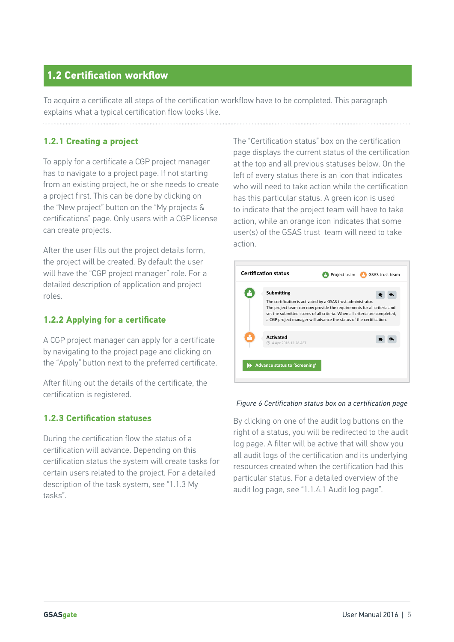### **1.2 Certification workflow**

To acquire a certificate all steps of the certification workflow have to be completed. This paragraph explains what a typical certification flow looks like.

#### **1.2.1 Creating a project**

To apply for a certificate a CGP project manager has to navigate to a project page. If not starting from an existing project, he or she needs to create a project first. This can be done by clicking on the "New project" button on the "My projects & certifications" page. Only users with a CGP license can create projects.

After the user fills out the project details form, the project will be created. By default the user will have the "CGP project manager" role. For a detailed description of application and project roles.

#### **1.2.2 Applying for a certificate**

A CGP project manager can apply for a certificate by navigating to the project page and clicking on the "Apply" button next to the preferred certificate.

After filling out the details of the certificate, the certification is registered.

#### **1.2.3 Certification statuses**

During the certification flow the status of a certification will advance. Depending on this certification status the system will create tasks for certain users related to the project. For a detailed description of the task system, see "1.1.3 My tasks".

The "Certification status" box on the certification page displays the current status of the certification at the top and all previous statuses below. On the left of every status there is an icon that indicates who will need to take action while the certification has this particular status. A green icon is used to indicate that the project team will have to take action, while an orange icon indicates that some user(s) of the GSAS trust team will need to take action.

| Submitting                                 |                                                                                                                                                                                                                                                                                              |  |
|--------------------------------------------|----------------------------------------------------------------------------------------------------------------------------------------------------------------------------------------------------------------------------------------------------------------------------------------------|--|
|                                            | The certification is activated by a GSAS trust administrator.<br>The project team can now provide the requirements for all criteria and<br>set the submitted scores of all criteria. When all criteria are completed,<br>a CGP project manager will advance the status of the certification. |  |
| <b>Activated</b><br>⊙ 4 Apr 2016 12:28 AST |                                                                                                                                                                                                                                                                                              |  |

#### *Figure 6 Certification status box on a certification page*

By clicking on one of the audit log buttons on the right of a status, you will be redirected to the audit log page. A filter will be active that will show you all audit logs of the certification and its underlying resources created when the certification had this particular status. For a detailed overview of the audit log page, see "1.1.4.1 Audit log page".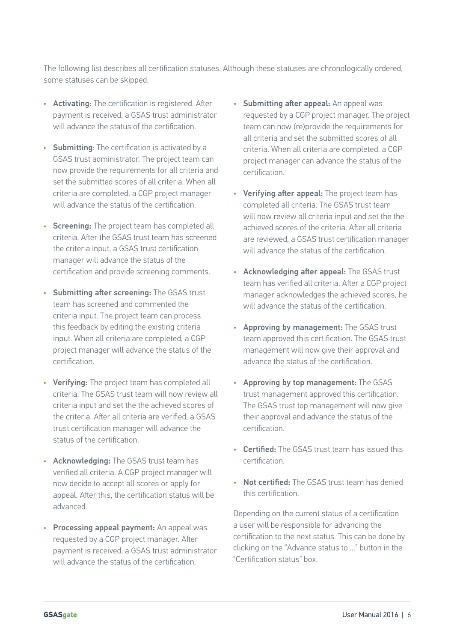The following list describes all certification statuses. Although these statuses are chronologically ordered, some statuses can be skipped.

- Activating: The certification is registered. After payment is received, a GSAS trust administrator will advance the status of the certification.
- Submitting: The certification is activated by a GSAS trust administrator. The project team can now provide the requirements for all criteria and set the submitted scores of all criteria. When all criteria are completed, a CGP project manager will advance the status of the certification.
- Screening: The project team has completed all criteria. After the GSAS trust team has screened the criteria input, a GSAS trust certification manager will advance the status of the certification and provide screening comments.
- Submitting after screening: The GSAS trust team has screened and commented the criteria input. The project team can process this feedback by editing the existing criteria input. When all criteria are completed, a CGP project manager will advance the status of the certification.
- Verifying: The project team has completed all criteria. The GSAS trust team will now review all criteria input and set the the achieved scores of the criteria. After all criteria are verified, a GSAS trust certification manager will advance the status of the certification.
- Acknowledging: The GSAS trust team has verified all criteria. A CGP project manager will now decide to accept all scores or apply for appeal. After this, the certification status will be advanced.
- Processing appeal payment: An appeal was requested by a CGP project manager. After payment is received, a GSAS trust administrator will advance the status of the certification
- Submitting after appeal: An appeal was requested by a CGP project manager. The project team can now (re)provide the requirements for all criteria and set the submitted scores of all criteria. When all criteria are completed, a CGP project manager can advance the status of the certification.
- Verifying after appeal: The project team has completed all criteria. The GSAS trust team will now review all criteria input and set the the achieved scores of the criteria. After all criteria are reviewed, a GSAS trust certification manager will advance the status of the certification.
- Acknowledging after appeal: The GSAS trust team has verified all criteria. After a CGP project manager acknowledges the achieved scores, he will advance the status of the certification.
- Approving by management: The GSAS trust team approved this certification. The GSAS trust management will now give their approval and advance the status of the certification.
- Approving by top management: The GSAS trust management approved this certification. The GSAS trust top management will now give their approval and advance the status of the certification.
- Certified: The GSAS trust team has issued this certification.
- Not certified: The GSAS trust team has denied this certification.

Depending on the current status of a certification a user will be responsible for advancing the certification to the next status. This can be done by clicking on the "Advance status to ..." button in the "Certification status" box.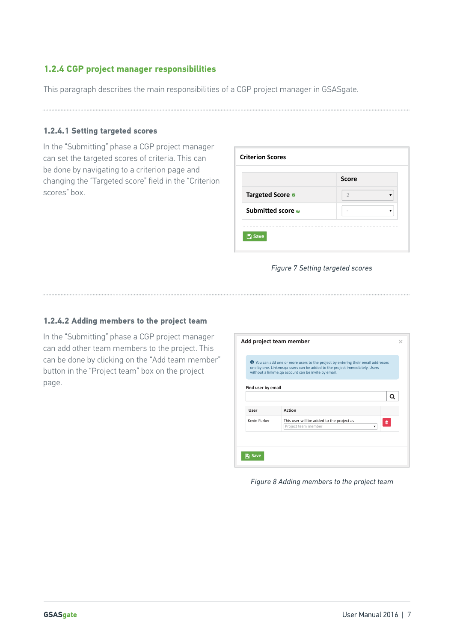#### **1.2.4 CGP project manager responsibilities**

This paragraph describes the main responsibilities of a CGP project manager in GSASgate.

#### **1.2.4.1 Setting targeted scores**

In the "Submitting" phase a CGP project manager can set the targeted scores of criteria. This can be done by navigating to a criterion page and changing the "Targeted score" field in the "Criterion scores" box.

| <b>Criterion Scores</b> |                     |  |  |  |
|-------------------------|---------------------|--|--|--|
|                         | <b>Score</b>        |  |  |  |
| Targeted Score ®        | $\overline{2}$<br>▼ |  |  |  |
| Submitted score o       |                     |  |  |  |

#### *Figure 7 Setting targeted scores*

#### **1.2.4.2 Adding members to the project team**

In the "Submitting" phase a CGP project manager can add other team members to the project. This can be done by clicking on the "Add team member" button in the "Project team" box on the project page.

|                    | O You can add one or more users to the project by entering their email addresses<br>one by one. Linkme.ga users can be added to the project immediately. Users<br>without a linkme.qa account can be invite by email. |  |
|--------------------|-----------------------------------------------------------------------------------------------------------------------------------------------------------------------------------------------------------------------|--|
| Find user by email |                                                                                                                                                                                                                       |  |
| User               | Action                                                                                                                                                                                                                |  |
| Kevin Parker       | This user will be added to the project as<br>▥<br>Project team member<br>v                                                                                                                                            |  |
|                    |                                                                                                                                                                                                                       |  |

*Figure 8 Adding members to the project team*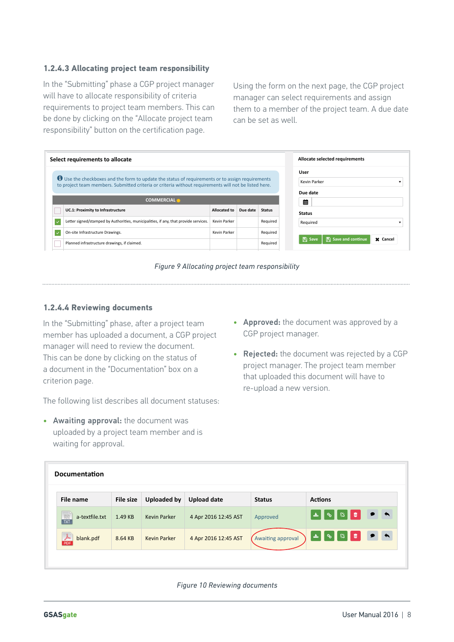#### **1.2.4.3 Allocating project team responsibility**

In the "Submitting" phase a CGP project manager will have to allocate responsibility of criteria requirements to project team members. This can be done by clicking on the "Allocate project team responsibility" button on the certification page.

Using the form on the next page, the CGP project manager can select requirements and assign them to a member of the project team. A due date can be set as well.

|     | Select requirements to allocate                                                                                                                                                                                  |                     |          |               | Allocate selected requirements                |
|-----|------------------------------------------------------------------------------------------------------------------------------------------------------------------------------------------------------------------|---------------------|----------|---------------|-----------------------------------------------|
|     | <b>D</b> Use the checkboxes and the form to update the status of requirements or to assign requirements<br>to project team members. Submitted criteria or criteria without requirements will not be listed here. |                     |          |               | User<br>Kevin Parker<br>Due date              |
|     | <b>COMMERCIAL *</b>                                                                                                                                                                                              |                     |          |               | 鯆                                             |
|     | UC.1: Proximity to Infrastructure                                                                                                                                                                                | <b>Allocated to</b> | Due date | <b>Status</b> | <b>Status</b>                                 |
|     |                                                                                                                                                                                                                  |                     |          |               |                                               |
| l v | Letter signed/stamped by Authorities, municipalities, if any, that provide services.                                                                                                                             | Kevin Parker        |          | Required      | Required                                      |
| ∣√  | On-site Infrastructure Drawings.                                                                                                                                                                                 | Kevin Parker        |          | Required      | $\mathbb{R}$ Save and continue<br>$\Box$ Save |
|     |                                                                                                                                                                                                                  |                     |          |               |                                               |

*Figure 9 Allocating project team responsibility*

#### **1.2.4.4 Reviewing documents**

In the "Submitting" phase, after a project team member has uploaded a document, a CGP project manager will need to review the document. This can be done by clicking on the status of a document in the "Documentation" box on a criterion page.

The following list describes all document statuses:

• Awaiting approval: the document was uploaded by a project team member and is waiting for approval.

- Approved: the document was approved by a CGP project manager.
- Rejected: the document was rejected by a CGP project manager. The project team member that uploaded this document will have to re-upload a new version.

| <b>Documentation</b>              |                  |                     |                      |                   |                                     |
|-----------------------------------|------------------|---------------------|----------------------|-------------------|-------------------------------------|
| File name                         | <b>File size</b> | <b>Uploaded by</b>  | <b>Upload date</b>   | <b>Status</b>     | <b>Actions</b>                      |
| $\frac{1}{121}$<br>a-textfile.txt | 1.49 KB          | <b>Kevin Parker</b> | 4 Apr 2016 12:45 AST | Approved          | $\overline{\phantom{a}}$<br>। ≚ ∥ % |
| blank.pdf<br>PDG                  | 8.64 KB          | <b>Kevin Parker</b> | 4 Apr 2016 12:45 AST | Awaiting approval | ▮◣<br>ᆇᆘ<br>$\mathcal{S}$           |

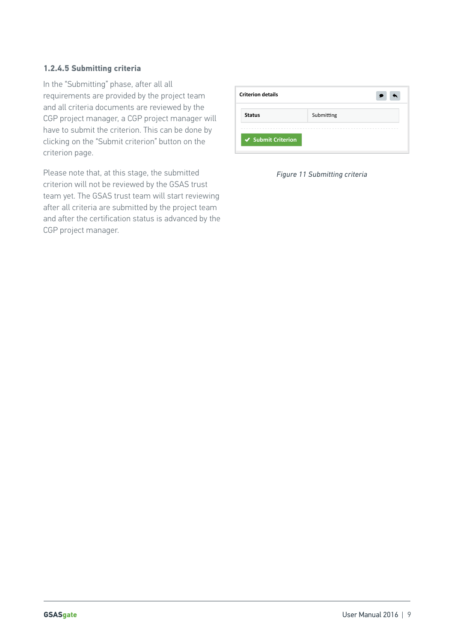#### **1.2.4.5 Submitting criteria**

In the "Submitting" phase, after all all requirements are provided by the project team and all criteria documents are reviewed by the CGP project manager, a CGP project manager will have to submit the criterion. This can be done by clicking on the "Submit criterion" button on the criterion page.

Please note that, at this stage, the submitted criterion will not be reviewed by the GSAS trust team yet. The GSAS trust team will start reviewing after all criteria are submitted by the project team and after the certification status is advanced by the CGP project manager.

| <b>Criterion details</b> |            |
|--------------------------|------------|
| <b>Status</b>            | Submitting |
| ↓ Submit Criterion       |            |

*Figure 11 Submitting criteria*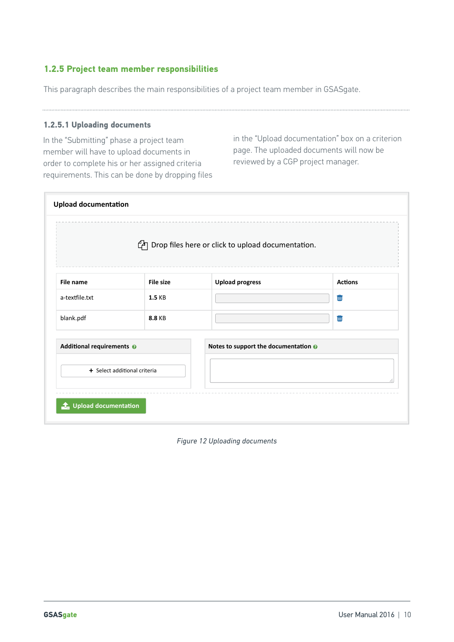#### **1.2.5 Project team member responsibilities**

This paragraph describes the main responsibilities of a project team member in GSASgate.

#### **1.2.5.1 Uploading documents**

In the "Submitting" phase a project team member will have to upload documents in order to complete his or her assigned criteria requirements. This can be done by dropping files in the "Upload documentation" box on a criterion page. The uploaded documents will now be reviewed by a CGP project manager.

|                           |                              | <sup>2</sup> Drop files here or click to upload documentation. |                |
|---------------------------|------------------------------|----------------------------------------------------------------|----------------|
| File name                 | <b>File size</b>             | <b>Upload progress</b>                                         | <b>Actions</b> |
| a-textfile.txt            | <b>1.5 KB</b>                |                                                                | 勔              |
| blank.pdf                 | <b>8.8 KB</b>                |                                                                | û              |
| Additional requirements @ |                              | Notes to support the documentation @                           |                |
|                           | + Select additional criteria |                                                                |                |

*Figure 12 Uploading documents*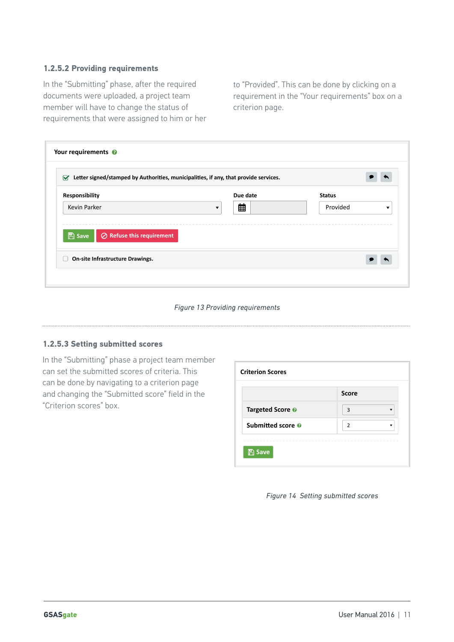#### **1.2.5.2 Providing requirements**

In the "Submitting" phase, after the required documents were uploaded, a project team member will have to change the status of requirements that were assigned to him or her to "Provided". This can be done by clicking on a requirement in the "Your requirements" box on a criterion page.

| Responsibility                                         |                      | Due date | <b>Status</b> |   |
|--------------------------------------------------------|----------------------|----------|---------------|---|
| Kevin Parker                                           | $\blacktriangledown$ | 曲        | Provided      | ▼ |
|                                                        |                      |          |               |   |
| $\mathbb{B}$ Save<br>$\oslash$ Refuse this requirement |                      |          |               |   |

#### *Figure 13 Providing requirements*

#### **1.2.5.3 Setting submitted scores**

In the "Submitting" phase a project team member can set the submitted scores of criteria. This can be done by navigating to a criterion page and changing the "Submitted score" field in the "Criterion scores" box.

| <b>Criterion Scores</b>      |              |  |  |
|------------------------------|--------------|--|--|
|                              | <b>Score</b> |  |  |
| Targeted Score @             | 3            |  |  |
| Submitted score <sup>o</sup> | 2<br>┳       |  |  |

*Figure 14 Setting submitted scores*